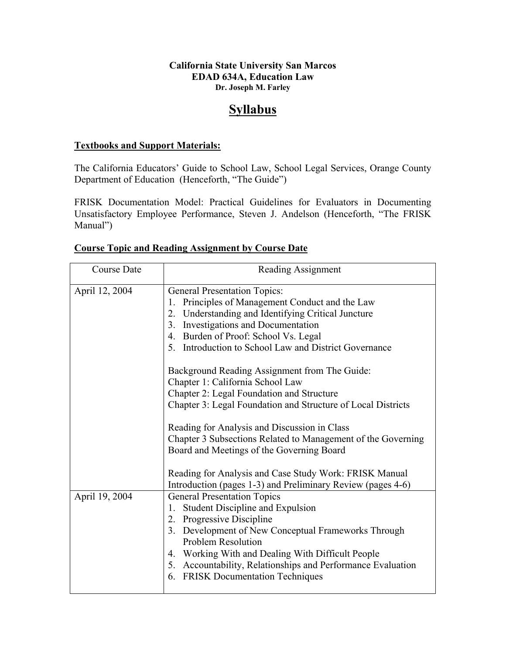## **California State University San Marcos EDAD 634A, Education Law Dr. Joseph M. Farley**

## **Syllabus**

## **Textbooks and Support Materials:**

The California Educators' Guide to School Law, School Legal Services, Orange County Department of Education (Henceforth, "The Guide")

FRISK Documentation Model: Practical Guidelines for Evaluators in Documenting Unsatisfactory Employee Performance, Steven J. Andelson (Henceforth, "The FRISK Manual")

|  | <b>Course Topic and Reading Assignment by Course Date</b> |  |  |
|--|-----------------------------------------------------------|--|--|
|  |                                                           |  |  |

| <b>Course Date</b> | Reading Assignment                                                                                                                                                                                                                                                                                                                                                      |
|--------------------|-------------------------------------------------------------------------------------------------------------------------------------------------------------------------------------------------------------------------------------------------------------------------------------------------------------------------------------------------------------------------|
| April 12, 2004     | <b>General Presentation Topics:</b><br>Principles of Management Conduct and the Law<br>2. Understanding and Identifying Critical Juncture<br>3. Investigations and Documentation<br>4. Burden of Proof: School Vs. Legal<br>5. Introduction to School Law and District Governance                                                                                       |
|                    | Background Reading Assignment from The Guide:<br>Chapter 1: California School Law<br>Chapter 2: Legal Foundation and Structure<br>Chapter 3: Legal Foundation and Structure of Local Districts<br>Reading for Analysis and Discussion in Class<br>Chapter 3 Subsections Related to Management of the Governing<br>Board and Meetings of the Governing Board             |
|                    | Reading for Analysis and Case Study Work: FRISK Manual<br>Introduction (pages 1-3) and Preliminary Review (pages 4-6)                                                                                                                                                                                                                                                   |
| April 19, 2004     | <b>General Presentation Topics</b><br><b>Student Discipline and Expulsion</b><br>1.<br>2. Progressive Discipline<br>3. Development of New Conceptual Frameworks Through<br><b>Problem Resolution</b><br>4. Working With and Dealing With Difficult People<br>5. Accountability, Relationships and Performance Evaluation<br><b>FRISK Documentation Techniques</b><br>6. |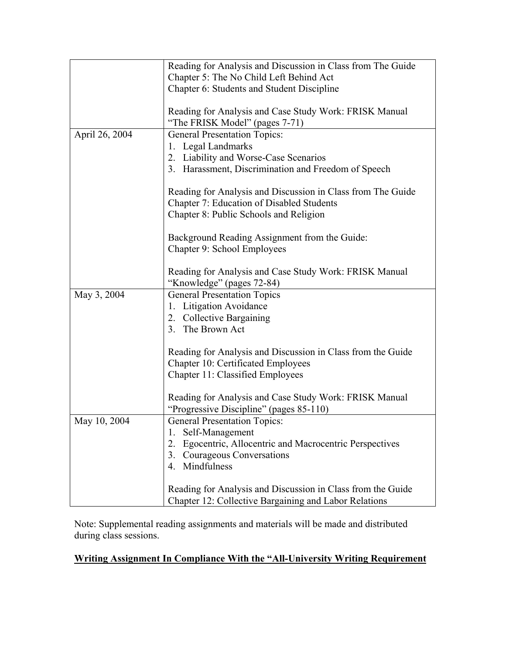|                | Reading for Analysis and Discussion in Class from The Guide<br>Chapter 5: The No Child Left Behind Act               |  |  |
|----------------|----------------------------------------------------------------------------------------------------------------------|--|--|
|                | Chapter 6: Students and Student Discipline                                                                           |  |  |
|                | Reading for Analysis and Case Study Work: FRISK Manual<br>"The FRISK Model" (pages 7-71)                             |  |  |
| April 26, 2004 | <b>General Presentation Topics:</b>                                                                                  |  |  |
|                | 1. Legal Landmarks                                                                                                   |  |  |
|                | 2. Liability and Worse-Case Scenarios                                                                                |  |  |
|                | 3. Harassment, Discrimination and Freedom of Speech                                                                  |  |  |
|                | Reading for Analysis and Discussion in Class from The Guide<br>Chapter 7: Education of Disabled Students             |  |  |
|                | Chapter 8: Public Schools and Religion                                                                               |  |  |
|                | Background Reading Assignment from the Guide:                                                                        |  |  |
|                | Chapter 9: School Employees                                                                                          |  |  |
|                |                                                                                                                      |  |  |
|                | Reading for Analysis and Case Study Work: FRISK Manual                                                               |  |  |
|                | "Knowledge" (pages 72-84)                                                                                            |  |  |
| May 3, 2004    | <b>General Presentation Topics</b>                                                                                   |  |  |
|                | <b>Litigation Avoidance</b><br>1.                                                                                    |  |  |
|                | 2. Collective Bargaining                                                                                             |  |  |
|                | 3. The Brown Act                                                                                                     |  |  |
|                | Reading for Analysis and Discussion in Class from the Guide                                                          |  |  |
|                | Chapter 10: Certificated Employees                                                                                   |  |  |
|                | Chapter 11: Classified Employees                                                                                     |  |  |
|                |                                                                                                                      |  |  |
|                | Reading for Analysis and Case Study Work: FRISK Manual                                                               |  |  |
|                | "Progressive Discipline" (pages 85-110)                                                                              |  |  |
| May 10, 2004   | <b>General Presentation Topics:</b>                                                                                  |  |  |
|                | Self-Management<br>1.                                                                                                |  |  |
|                | Egocentric, Allocentric and Macrocentric Perspectives<br>2.                                                          |  |  |
|                | Courageous Conversations<br>3.                                                                                       |  |  |
|                | Mindfulness<br>$\overline{4}$ .                                                                                      |  |  |
|                | Reading for Analysis and Discussion in Class from the Guide<br>Chapter 12: Collective Bargaining and Labor Relations |  |  |

Note: Supplemental reading assignments and materials will be made and distributed during class sessions.

## **Writing Assignment In Compliance With the "All-University Writing Requirement**